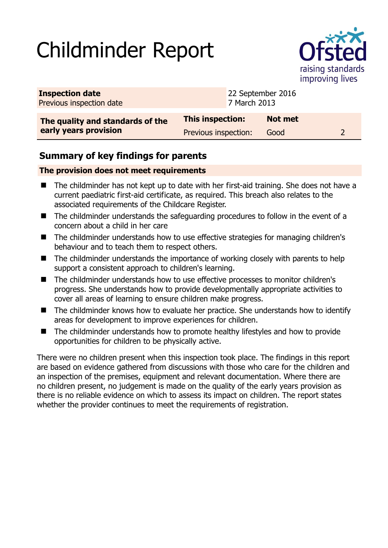# Childminder Report



| <b>Inspection date</b><br>Previous inspection date |                      | 22 September 2016<br>7 March 2013 |  |
|----------------------------------------------------|----------------------|-----------------------------------|--|
| The quality and standards of the                   | This inspection:     | <b>Not met</b>                    |  |
| early years provision                              | Previous inspection: | Good                              |  |

## **Summary of key findings for parents**

#### **The provision does not meet requirements**

- The childminder has not kept up to date with her first-aid training. She does not have a current paediatric first-aid certificate, as required. This breach also relates to the associated requirements of the Childcare Register.
- The childminder understands the safeguarding procedures to follow in the event of a concern about a child in her care
- The childminder understands how to use effective strategies for managing children's behaviour and to teach them to respect others.
- $\blacksquare$  The childminder understands the importance of working closely with parents to help support a consistent approach to children's learning.
- The childminder understands how to use effective processes to monitor children's progress. She understands how to provide developmentally appropriate activities to cover all areas of learning to ensure children make progress.
- The childminder knows how to evaluate her practice. She understands how to identify areas for development to improve experiences for children.
- The childminder understands how to promote healthy lifestyles and how to provide opportunities for children to be physically active.

There were no children present when this inspection took place. The findings in this report are based on evidence gathered from discussions with those who care for the children and an inspection of the premises, equipment and relevant documentation. Where there are no children present, no judgement is made on the quality of the early years provision as there is no reliable evidence on which to assess its impact on children. The report states whether the provider continues to meet the requirements of registration.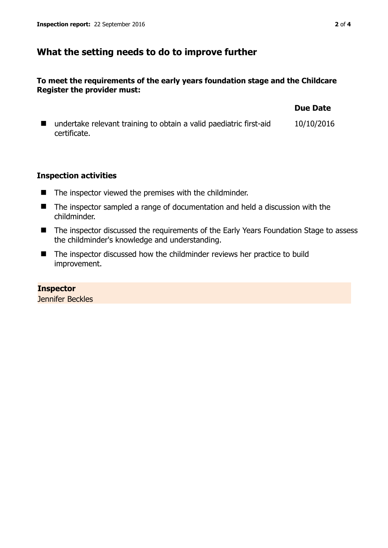### **What the setting needs to do to improve further**

#### **To meet the requirements of the early years foundation stage and the Childcare Register the provider must:**

|                                                                                    | <b>Due Date</b> |
|------------------------------------------------------------------------------------|-----------------|
| undertake relevant training to obtain a valid paediatric first-aid<br>certificate. | 10/10/2016      |

#### **Inspection activities**

- $\blacksquare$  The inspector viewed the premises with the childminder.
- The inspector sampled a range of documentation and held a discussion with the childminder.
- The inspector discussed the requirements of the Early Years Foundation Stage to assess the childminder's knowledge and understanding.
- The inspector discussed how the childminder reviews her practice to build improvement.

#### **Inspector**  Jennifer Beckles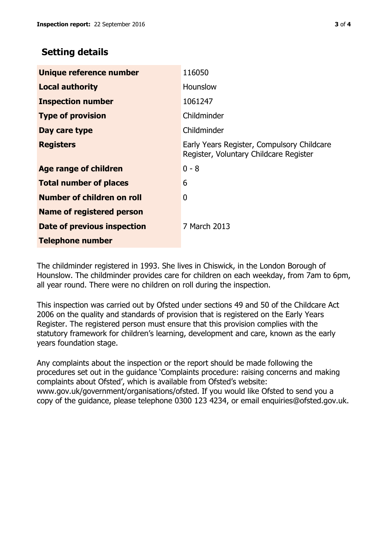## **Setting details**

| Unique reference number       | 116050                                                                               |
|-------------------------------|--------------------------------------------------------------------------------------|
| <b>Local authority</b>        | Hounslow                                                                             |
| <b>Inspection number</b>      | 1061247                                                                              |
| <b>Type of provision</b>      | Childminder                                                                          |
| Day care type                 | Childminder                                                                          |
| <b>Registers</b>              | Early Years Register, Compulsory Childcare<br>Register, Voluntary Childcare Register |
| <b>Age range of children</b>  | $0 - 8$                                                                              |
| <b>Total number of places</b> | 6                                                                                    |
| Number of children on roll    | 0                                                                                    |
| Name of registered person     |                                                                                      |
| Date of previous inspection   | 7 March 2013                                                                         |
| <b>Telephone number</b>       |                                                                                      |

The childminder registered in 1993. She lives in Chiswick, in the London Borough of Hounslow. The childminder provides care for children on each weekday, from 7am to 6pm, all year round. There were no children on roll during the inspection.

This inspection was carried out by Ofsted under sections 49 and 50 of the Childcare Act 2006 on the quality and standards of provision that is registered on the Early Years Register. The registered person must ensure that this provision complies with the statutory framework for children's learning, development and care, known as the early years foundation stage.

Any complaints about the inspection or the report should be made following the procedures set out in the guidance 'Complaints procedure: raising concerns and making complaints about Ofsted', which is available from Ofsted's website: www.gov.uk/government/organisations/ofsted. If you would like Ofsted to send you a copy of the guidance, please telephone 0300 123 4234, or email enquiries@ofsted.gov.uk.